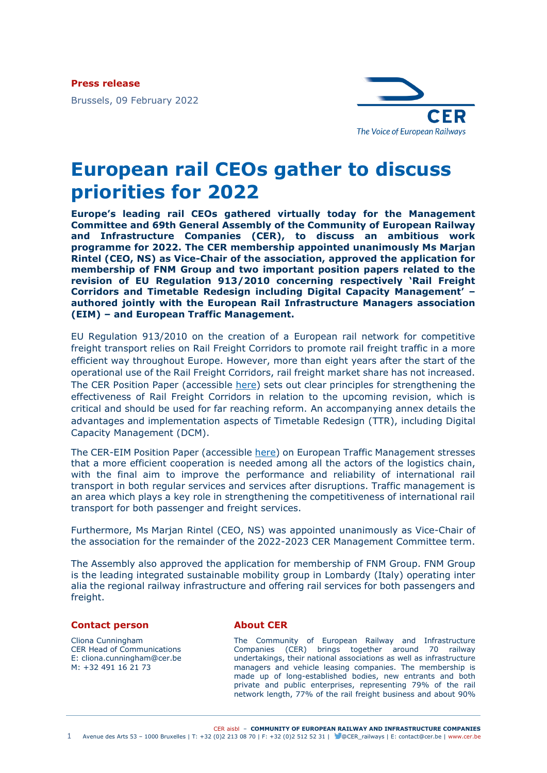**Press release**

Brussels, 09 February 2022



## **European rail CEOs gather to discuss priorities for 2022**

**Europe's leading rail CEOs gathered virtually today for the Management Committee and 69th General Assembly of the Community of European Railway and Infrastructure Companies (CER), to discuss an ambitious work programme for 2022. The CER membership appointed unanimously Ms Marjan Rintel (CEO, NS) as Vice-Chair of the association, approved the application for membership of FNM Group and two important position papers related to the revision of EU Regulation 913/2010 concerning respectively 'Rail Freight Corridors and Timetable Redesign including Digital Capacity Management' – authored jointly with the European Rail Infrastructure Managers association (EIM) – and European Traffic Management.**

EU Regulation 913/2010 on the creation of a European rail network for competitive freight transport relies on Rail Freight Corridors to promote rail freight traffic in a more efficient way throughout Europe. However, more than eight years after the start of the operational use of the Rail Freight Corridors, rail freight market share has not increased. The CER Position Paper (accessible [here\)](https://www.cer.be/publications/latest-publications/rail-freight-corridors-timetable-redesign) sets out clear principles for strengthening the effectiveness of Rail Freight Corridors in relation to the upcoming revision, which is critical and should be used for far reaching reform. An accompanying annex details the advantages and implementation aspects of Timetable Redesign (TTR), including Digital Capacity Management (DCM).

The CER-EIM Position Paper (accessible [here\)](https://www.cer.be/publications/latest-publications/striving-virtual-european-traffic-management) on European Traffic Management stresses that a more efficient cooperation is needed among all the actors of the logistics chain, with the final aim to improve the performance and reliability of international rail transport in both regular services and services after disruptions. Traffic management is an area which plays a key role in strengthening the competitiveness of international rail transport for both passenger and freight services.

Furthermore, Ms Marjan Rintel (CEO, NS) was appointed unanimously as Vice-Chair of the association for the remainder of the 2022-2023 CER Management Committee term.

The Assembly also approved the application for membership of FNM Group. FNM Group is the leading integrated sustainable mobility group in Lombardy (Italy) operating inter alia the regional railway infrastructure and offering rail services for both passengers and freight.

## **Contact person**

Cliona Cunningham CER Head of Communications E: cliona.cunningham@cer.be M: +32 491 16 21 73

## **About CER**

The Community of European Railway and Infrastructure Companies (CER) brings together around 70 railway undertakings, their national associations as well as infrastructure managers and vehicle leasing companies. The membership is made up of long-established bodies, new entrants and both private and public enterprises, representing 79% of the rail network length, 77% of the rail freight business and about 90%